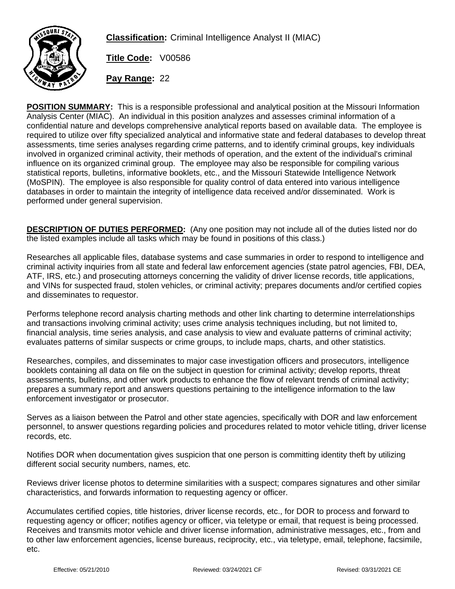

**Classification:** Criminal Intelligence Analyst II (MIAC)

**Title Code:** V00586

**Pay Range:** 22

**POSITION SUMMARY:** This is a responsible professional and analytical position at the Missouri Information Analysis Center (MIAC). An individual in this position analyzes and assesses criminal information of a confidential nature and develops comprehensive analytical reports based on available data. The employee is required to utilize over fifty specialized analytical and informative state and federal databases to develop threat assessments, time series analyses regarding crime patterns, and to identify criminal groups, key individuals involved in organized criminal activity, their methods of operation, and the extent of the individual's criminal influence on its organized criminal group. The employee may also be responsible for compiling various statistical reports, bulletins, informative booklets, etc., and the Missouri Statewide Intelligence Network (MoSPIN). The employee is also responsible for quality control of data entered into various intelligence databases in order to maintain the integrity of intelligence data received and/or disseminated. Work is performed under general supervision.

**DESCRIPTION OF DUTIES PERFORMED:** (Any one position may not include all of the duties listed nor do the listed examples include all tasks which may be found in positions of this class.)

Researches all applicable files, database systems and case summaries in order to respond to intelligence and criminal activity inquiries from all state and federal law enforcement agencies (state patrol agencies, FBI, DEA, ATF, IRS, etc.) and prosecuting attorneys concerning the validity of driver license records, title applications, and VINs for suspected fraud, stolen vehicles, or criminal activity; prepares documents and/or certified copies and disseminates to requestor.

Performs telephone record analysis charting methods and other link charting to determine interrelationships and transactions involving criminal activity; uses crime analysis techniques including, but not limited to, financial analysis, time series analysis, and case analysis to view and evaluate patterns of criminal activity; evaluates patterns of similar suspects or crime groups, to include maps, charts, and other statistics.

Researches, compiles, and disseminates to major case investigation officers and prosecutors, intelligence booklets containing all data on file on the subject in question for criminal activity; develop reports, threat assessments, bulletins, and other work products to enhance the flow of relevant trends of criminal activity; prepares a summary report and answers questions pertaining to the intelligence information to the law enforcement investigator or prosecutor.

Serves as a liaison between the Patrol and other state agencies, specifically with DOR and law enforcement personnel, to answer questions regarding policies and procedures related to motor vehicle titling, driver license records, etc.

Notifies DOR when documentation gives suspicion that one person is committing identity theft by utilizing different social security numbers, names, etc.

Reviews driver license photos to determine similarities with a suspect; compares signatures and other similar characteristics, and forwards information to requesting agency or officer.

Accumulates certified copies, title histories, driver license records, etc., for DOR to process and forward to requesting agency or officer; notifies agency or officer, via teletype or email, that request is being processed. Receives and transmits motor vehicle and driver license information, administrative messages, etc., from and to other law enforcement agencies, license bureaus, reciprocity, etc., via teletype, email, telephone, facsimile, etc.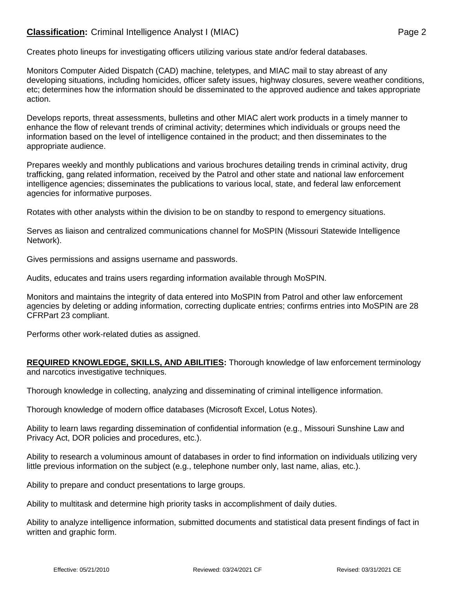## **Classification:** Criminal Intelligence Analyst I (MIAC) **Page 2** Page 2

Creates photo lineups for investigating officers utilizing various state and/or federal databases.

Monitors Computer Aided Dispatch (CAD) machine, teletypes, and MIAC mail to stay abreast of any developing situations, including homicides, officer safety issues, highway closures, severe weather conditions, etc; determines how the information should be disseminated to the approved audience and takes appropriate action.

Develops reports, threat assessments, bulletins and other MIAC alert work products in a timely manner to enhance the flow of relevant trends of criminal activity; determines which individuals or groups need the information based on the level of intelligence contained in the product; and then disseminates to the appropriate audience.

Prepares weekly and monthly publications and various brochures detailing trends in criminal activity, drug trafficking, gang related information, received by the Patrol and other state and national law enforcement intelligence agencies; disseminates the publications to various local, state, and federal law enforcement agencies for informative purposes.

Rotates with other analysts within the division to be on standby to respond to emergency situations.

Serves as liaison and centralized communications channel for MoSPIN (Missouri Statewide Intelligence Network).

Gives permissions and assigns username and passwords.

Audits, educates and trains users regarding information available through MoSPIN.

Monitors and maintains the integrity of data entered into MoSPIN from Patrol and other law enforcement agencies by deleting or adding information, correcting duplicate entries; confirms entries into MoSPIN are 28 CFRPart 23 compliant.

Performs other work-related duties as assigned.

**REQUIRED KNOWLEDGE, SKILLS, AND ABILITIES:** Thorough knowledge of law enforcement terminology and narcotics investigative techniques.

Thorough knowledge in collecting, analyzing and disseminating of criminal intelligence information.

Thorough knowledge of modern office databases (Microsoft Excel, Lotus Notes).

Ability to learn laws regarding dissemination of confidential information (e.g., Missouri Sunshine Law and Privacy Act, DOR policies and procedures, etc.).

Ability to research a voluminous amount of databases in order to find information on individuals utilizing very little previous information on the subject (e.g., telephone number only, last name, alias, etc.).

Ability to prepare and conduct presentations to large groups.

Ability to multitask and determine high priority tasks in accomplishment of daily duties.

Ability to analyze intelligence information, submitted documents and statistical data present findings of fact in written and graphic form.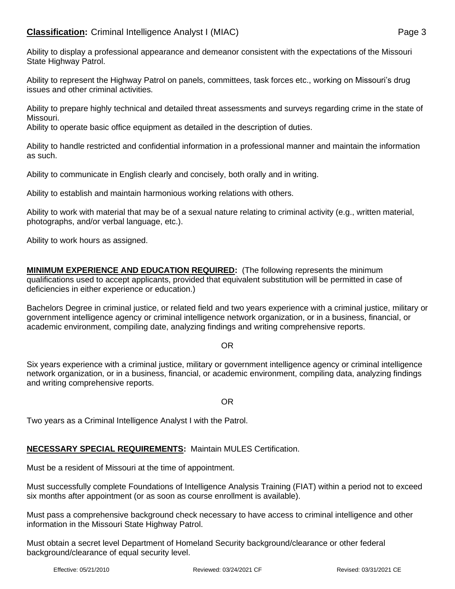Ability to display a professional appearance and demeanor consistent with the expectations of the Missouri State Highway Patrol.

Ability to represent the Highway Patrol on panels, committees, task forces etc., working on Missouri's drug issues and other criminal activities.

Ability to prepare highly technical and detailed threat assessments and surveys regarding crime in the state of Missouri.

Ability to operate basic office equipment as detailed in the description of duties.

Ability to handle restricted and confidential information in a professional manner and maintain the information as such.

Ability to communicate in English clearly and concisely, both orally and in writing.

Ability to establish and maintain harmonious working relations with others.

Ability to work with material that may be of a sexual nature relating to criminal activity (e.g., written material, photographs, and/or verbal language, etc.).

Ability to work hours as assigned.

**MINIMUM EXPERIENCE AND EDUCATION REQUIRED:** (The following represents the minimum qualifications used to accept applicants, provided that equivalent substitution will be permitted in case of deficiencies in either experience or education.)

Bachelors Degree in criminal justice, or related field and two years experience with a criminal justice, military or government intelligence agency or criminal intelligence network organization, or in a business, financial, or academic environment, compiling date, analyzing findings and writing comprehensive reports.

#### OR

Six years experience with a criminal justice, military or government intelligence agency or criminal intelligence network organization, or in a business, financial, or academic environment, compiling data, analyzing findings and writing comprehensive reports.

#### OR

Two years as a Criminal Intelligence Analyst I with the Patrol.

# **NECESSARY SPECIAL REQUIREMENTS:** Maintain MULES Certification.

Must be a resident of Missouri at the time of appointment.

Must successfully complete Foundations of Intelligence Analysis Training (FIAT) within a period not to exceed six months after appointment (or as soon as course enrollment is available).

Must pass a comprehensive background check necessary to have access to criminal intelligence and other information in the Missouri State Highway Patrol.

Must obtain a secret level Department of Homeland Security background/clearance or other federal background/clearance of equal security level.